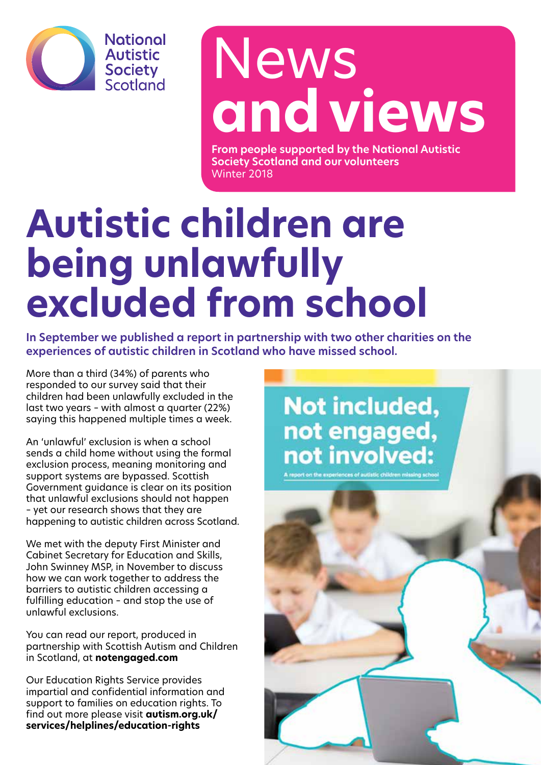

## News **and views**

**From people supported by the National Autistic Society Scotland and our volunteers** Winter 2018

## **Autistic children are being unlawfully excluded from school**

**In September we published a report in partnership with two other charities on the experiences of autistic children in Scotland who have missed school.** 

More than a third (34%) of parents who responded to our survey said that their children had been unlawfully excluded in the last two years – with almost a quarter (22%) saying this happened multiple times a week.

An 'unlawful' exclusion is when a school sends a child home without using the formal exclusion process, meaning monitoring and support systems are bypassed. Scottish Government guidance is clear on its position that unlawful exclusions should not happen – yet our research shows that they are happening to autistic children across Scotland.

We met with the deputy First Minister and Cabinet Secretary for Education and Skills, John Swinney MSP, in November to discuss how we can work together to address the barriers to autistic children accessing a fulfilling education – and stop the use of unlawful exclusions.

You can read our report, produced in partnership with Scottish Autism and Children in Scotland, at **notengaged.com**

Our Education Rights Service provides impartial and confidential information and support to families on education rights. To find out more please visit **autism.org.uk/ services/helplines/education-rights**

### **Not included,** not engaged, not involved:

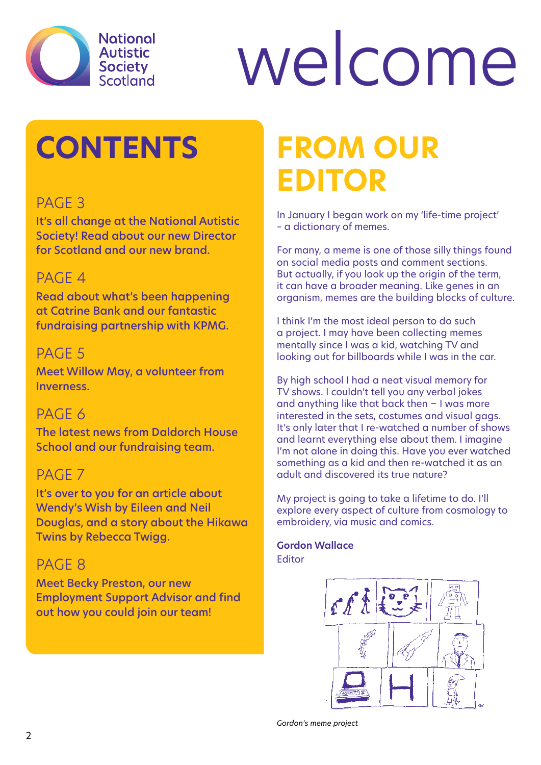

# welcome

## **CONTENTS**

#### PAGE<sub>3</sub>

It's all change at the National Autistic Society! Read about our new Director for Scotland and our new brand.

#### PAGF<sub>4</sub>

Read about what's been happening at Catrine Bank and our fantastic fundraising partnership with KPMG.

#### PAGE 5

Meet Willow May, a volunteer from **Inverness** 

#### PAGE 6

The latest news from Daldorch House School and our fundraising team.

#### PAGE<sub>7</sub>

It's over to you for an article about Wendy's Wish by Eileen and Neil Douglas, and a story about the Hikawa Twins by Rebecca Twigg.

#### PAGE<sub>8</sub>

Meet Becky Preston, our new Employment Support Advisor and find out how you could join our team!

## **From our Editor**

In January I began work on my 'life-time project' – a dictionary of memes.

For many, a meme is one of those silly things found on social media posts and comment sections. But actually, if you look up the origin of the term, it can have a broader meaning. Like genes in an organism, memes are the building blocks of culture.

I think I'm the most ideal person to do such a project. I may have been collecting memes mentally since I was a kid, watching TV and looking out for billboards while I was in the car.

By high school I had a neat visual memory for TV shows. I couldn't tell you any verbal jokes and anything like that back then − I was more interested in the sets, costumes and visual gags. It's only later that I re-watched a number of shows and learnt everything else about them. I imagine I'm not alone in doing this. Have you ever watched something as a kid and then re-watched it as an adult and discovered its true nature?

My project is going to take a lifetime to do. I'll explore every aspect of culture from cosmology to embroidery, via music and comics.

#### **Gordon Wallace** Editor

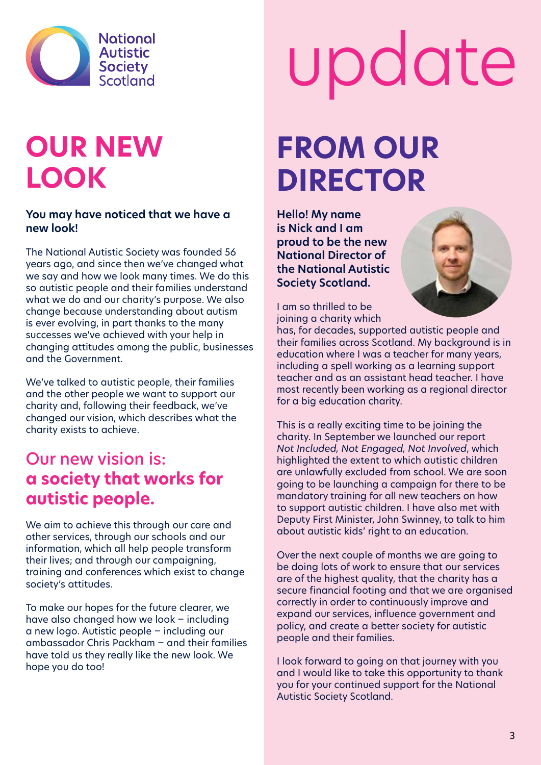

### **Our new look**

#### **You may have noticed that we have a new look!**

The National Autistic Society was founded 56 years ago, and since then we've changed what we say and how we look many times. We do this so autistic people and their families understand what we do and our charity's purpose. We also change because understanding about autism is ever evolving, in part thanks to the many successes we've achieved with your help in changing attitudes among the public, businesses and the Government.

We've talked to autistic people, their families and the other people we want to support our charity and, following their feedback, we've changed our vision, which describes what the charity exists to achieve.

#### Our new vision is: **a society that works for autistic people.**

We aim to achieve this through our care and other services, through our schools and our information, which all help people transform their lives; and through our campaigning, training and conferences which exist to change society's attitudes.

To make our hopes for the future clearer, we have also changed how we look − including a new logo. Autistic people − including our ambassador Chris Packham − and their families have told us they really like the new look. We hope you do too!

# update

### **From our Director**

**Hello! My name is Nick and I am proud to be the new National Director of the National Autistic Society Scotland.** 



I am so thrilled to be joining a charity which

has, for decades, supported autistic people and their families across Scotland. My background is in education where I was a teacher for many years, including a spell working as a learning support teacher and as an assistant head teacher. I have most recently been working as a regional director for a big education charity.

This is a really exciting time to be joining the charity. In September we launched our report *Not Included, Not Engaged, Not Involved*, which highlighted the extent to which autistic children are unlawfully excluded from school. We are soon going to be launching a campaign for there to be mandatory training for all new teachers on how to support autistic children. I have also met with Deputy First Minister, John Swinney, to talk to him about autistic kids' right to an education.

Over the next couple of months we are going to be doing lots of work to ensure that our services are of the highest quality, that the charity has a secure financial footing and that we are organised correctly in order to continuously improve and expand our services, influence government and policy, and create a better society for autistic people and their families.

I look forward to going on that journey with you and I would like to take this opportunity to thank you for your continued support for the National Autistic Society Scotland.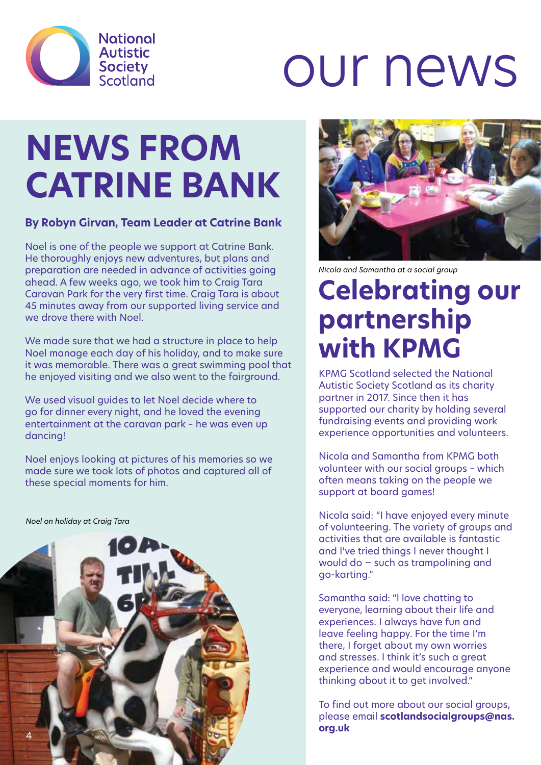

## our news

## **NEWS FROM CATRINE BANK**

#### **By Robyn Girvan, Team Leader at Catrine Bank**

Noel is one of the people we support at Catrine Bank. He thoroughly enjoys new adventures, but plans and preparation are needed in advance of activities going ahead. A few weeks ago, we took him to Craig Tara Caravan Park for the very first time. Craig Tara is about 45 minutes away from our supported living service and we drove there with Noel.

We made sure that we had a structure in place to help Noel manage each day of his holiday, and to make sure it was memorable. There was a great swimming pool that he enjoyed visiting and we also went to the fairground.

We used visual guides to let Noel decide where to go for dinner every night, and he loved the evening entertainment at the caravan park – he was even up dancing!

Noel enjoys looking at pictures of his memories so we made sure we took lots of photos and captured all of these special moments for him.

*Noel on holiday at Craig Tara*





*Nicola and Samantha at a social group*

### **Celebrating our partnership with KPMG**

KPMG Scotland selected the National Autistic Society Scotland as its charity partner in 2017. Since then it has supported our charity by holding several fundraising events and providing work experience opportunities and volunteers.

Nicola and Samantha from KPMG both volunteer with our social groups – which often means taking on the people we support at board games!

Nicola said: "I have enjoyed every minute of volunteering. The variety of groups and activities that are available is fantastic and I've tried things I never thought I would do − such as trampolining and go-karting."

Samantha said: "I love chatting to everyone, learning about their life and experiences. I always have fun and leave feeling happy. For the time I'm there, I forget about my own worries and stresses. I think it's such a great experience and would encourage anyone thinking about it to get involved."

To find out more about our social groups, please email **scotlandsocialgroups@nas. org.uk**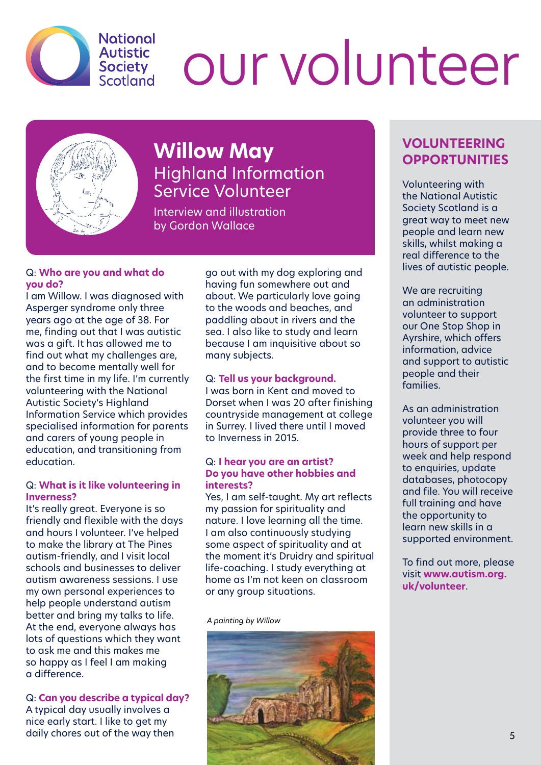

## our volunteer



#### **Willow May** Highland Information Service Volunteer

Interview and illustration by Gordon Wallace

#### Q: **Who are you and what do you do?**

I am Willow. I was diagnosed with Asperger syndrome only three years ago at the age of 38. For me, finding out that I was autistic was a gift. It has allowed me to find out what my challenges are, and to become mentally well for the first time in my life. I'm currently volunteering with the National Autistic Society's Highland Information Service which provides specialised information for parents and carers of young people in education, and transitioning from education.

#### Q: **What is it like volunteering in Inverness?**

It's really great. Everyone is so friendly and flexible with the days and hours I volunteer. I've helped to make the library at The Pines autism-friendly, and I visit local schools and businesses to deliver autism awareness sessions. I use my own personal experiences to help people understand autism better and bring my talks to life. At the end, everyone always has lots of questions which they want to ask me and this makes me so happy as I feel I am making a difference.

Q: **Can you describe a typical day?** A typical day usually involves a nice early start. I like to get my daily chores out of the way then

go out with my dog exploring and having fun somewhere out and about. We particularly love going to the woods and beaches, and paddling about in rivers and the sea. I also like to study and learn because I am inquisitive about so many subjects.

#### Q: **Tell us your background.**

I was born in Kent and moved to Dorset when I was 20 after finishing countryside management at college in Surrey. I lived there until I moved to Inverness in 2015.

#### Q: **I hear you are an artist? Do you have other hobbies and interests?**

Yes, I am self-taught. My art reflects my passion for spirituality and nature. I love learning all the time. I am also continuously studying some aspect of spirituality and at the moment it's Druidry and spiritual life-coaching. I study everything at home as I'm not keen on classroom or any group situations.

*A painting by Willow*



#### **VOLUNTEERING OPPORTUNITIES**

Volunteering with the National Autistic Society Scotland is a great way to meet new people and learn new skills, whilst making a real difference to the lives of autistic people.

We are recruiting an administration volunteer to support our One Stop Shop in Ayrshire, which offers information, advice and support to autistic people and their families.

As an administration volunteer you will provide three to four hours of support per week and help respond to enquiries, update databases, photocopy and file. You will receive full training and have the opportunity to learn new skills in a supported environment.

To find out more, please visit **www.autism.org. uk/volunteer**.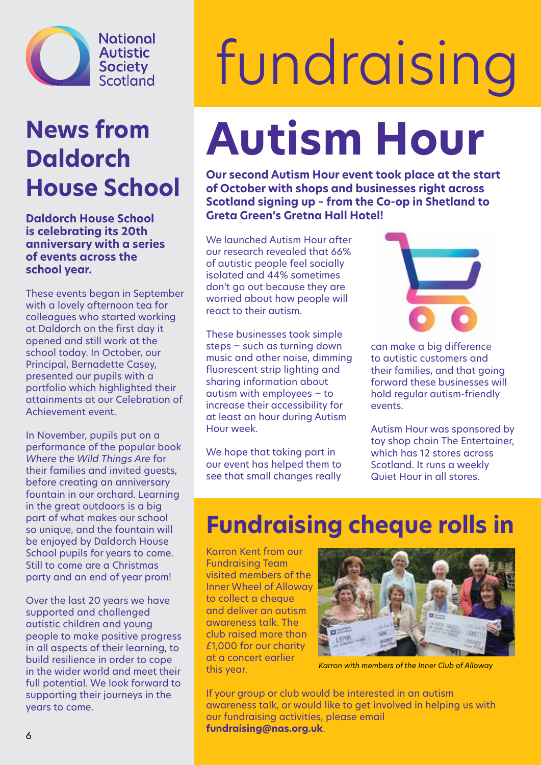

### **News from Daldorch House School**

**Daldorch House School is celebrating its 20th anniversary with a series of events across the school year.** 

These events began in September with a lovely afternoon tea for colleagues who started working at Daldorch on the first day it opened and still work at the school today. In October, our Principal, Bernadette Casey, presented our pupils with a portfolio which highlighted their attainments at our Celebration of Achievement event.

In November, pupils put on a performance of the popular book *Where the Wild Things Are* for their families and invited guests, before creating an anniversary fountain in our orchard. Learning in the great outdoors is a big part of what makes our school so unique, and the fountain will be enjoyed by Daldorch House School pupils for years to come. Still to come are a Christmas party and an end of year prom!

Over the last 20 years we have supported and challenged autistic children and young people to make positive progress in all aspects of their learning, to build resilience in order to cope in the wider world and meet their full potential. We look forward to supporting their journeys in the years to come.

## fundraising **Autism Hour**

**Our second Autism Hour event took place at the start of October with shops and businesses right across Scotland signing up – from the Co-op in Shetland to Greta Green's Gretna Hall Hotel!**

We launched Autism Hour after our research revealed that 66% of autistic people feel socially isolated and 44% sometimes don't go out because they are worried about how people will react to their autism.

These businesses took simple steps − such as turning down music and other noise, dimming fluorescent strip lighting and sharing information about autism with employees − to increase their accessibility for at least an hour during Autism Hour week.

We hope that taking part in our event has helped them to see that small changes really



can make a big difference to autistic customers and their families, and that going forward these businesses will hold regular autism-friendly events.

Autism Hour was sponsored by toy shop chain The Entertainer, which has 12 stores across Scotland. It runs a weekly Quiet Hour in all stores.

### **Fundraising cheque rolls in**

Karron Kent from our Fundraising Team visited members of the Inner Wheel of Alloway to collect a cheque and deliver an autism awareness talk. The club raised more than £1,000 for our charity at a concert earlier this year.



*Karron with members of the Inner Club of Alloway*

If your group or club would be interested in an autism awareness talk, or would like to get involved in helping us with our fundraising activities, please email **fundraising@nas.org.uk**.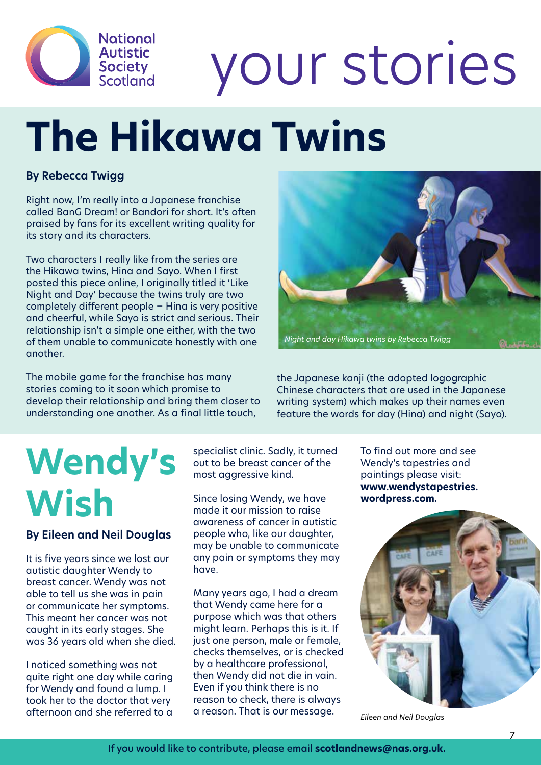

## your stories

## **The Hikawa Twins**

#### **By Rebecca Twigg**

Right now, I'm really into a Japanese franchise called BanG Dream! or Bandori for short. It's often praised by fans for its excellent writing quality for its story and its characters.

Two characters I really like from the series are the Hikawa twins, Hina and Sayo. When I first posted this piece online, I originally titled it 'Like Night and Day' because the twins truly are two completely different people − Hina is very positive and cheerful, while Sayo is strict and serious. Their relationship isn't a simple one either, with the two of them unable to communicate honestly with one another.

The mobile game for the franchise has many stories coming to it soon which promise to develop their relationship and bring them closer to understanding one another. As a final little touch,



the Japanese kanji (the adopted logographic Chinese characters that are used in the Japanese writing system) which makes up their names even feature the words for day (Hina) and night (Sayo).

## **Wendy's Wish**

**By Eileen and Neil Douglas**

It is five years since we lost our autistic daughter Wendy to breast cancer. Wendy was not able to tell us she was in pain or communicate her symptoms. This meant her cancer was not caught in its early stages. She was 36 years old when she died.

I noticed something was not quite right one day while caring for Wendy and found a lump. I took her to the doctor that very afternoon and she referred to a

specialist clinic. Sadly, it turned out to be breast cancer of the most aggressive kind.

Since losing Wendy, we have made it our mission to raise awareness of cancer in autistic people who, like our daughter, may be unable to communicate any pain or symptoms they may have.

Many years ago, I had a dream that Wendy came here for a purpose which was that others might learn. Perhaps this is it. If just one person, male or female, checks themselves, or is checked by a healthcare professional, then Wendy did not die in vain. Even if you think there is no reason to check, there is always a reason. That is our message.

To find out more and see Wendy's tapestries and paintings please visit: **www.wendystapestries. wordpress.com.** 



*Eileen and Neil Douglas*